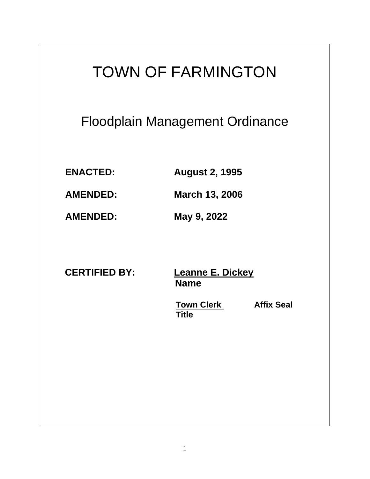# TOWN OF FARMINGTON Floodplain Management Ordinance **ENACTED: August 2, 1995 AMENDED: March 13, 2006 AMENDED: May 9, 2022 CERTIFIED BY: Leanne E. Dickey**

 **Name** 

**Town Clerk Affix Seal** *Title*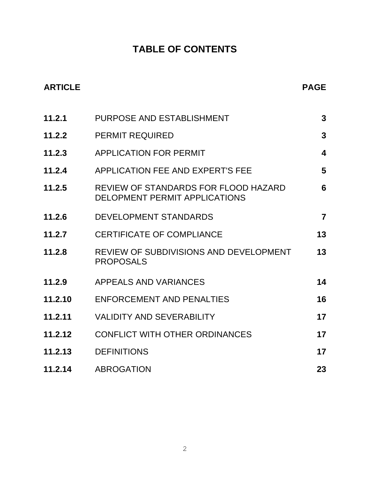# **TABLE OF CONTENTS**

| <b>ARTICLE</b> |                                                                              | <b>PAGE</b>             |
|----------------|------------------------------------------------------------------------------|-------------------------|
| 11.2.1         | PURPOSE AND ESTABLISHMENT                                                    | $\mathbf{3}$            |
| 11.2.2         | <b>PERMIT REQUIRED</b>                                                       | $\mathbf{3}$            |
| 11.2.3         | <b>APPLICATION FOR PERMIT</b>                                                | $\overline{\mathbf{4}}$ |
| 11.2.4         | APPLICATION FEE AND EXPERT'S FEE                                             | 5                       |
| 11.2.5         | REVIEW OF STANDARDS FOR FLOOD HAZARD<br><b>DELOPMENT PERMIT APPLICATIONS</b> | 6                       |
| 11.2.6         | <b>DEVELOPMENT STANDARDS</b>                                                 | $\overline{7}$          |
| 11.2.7         | <b>CERTIFICATE OF COMPLIANCE</b>                                             | 13                      |
| 11.2.8         | REVIEW OF SUBDIVISIONS AND DEVELOPMENT<br><b>PROPOSALS</b>                   | 13                      |
| 11.2.9         | APPEALS AND VARIANCES                                                        | 14                      |
| 11.2.10        | <b>ENFORCEMENT AND PENALTIES</b>                                             | 16                      |
| 11.2.11        | <b>VALIDITY AND SEVERABILITY</b>                                             | 17                      |
| 11.2.12        | <b>CONFLICT WITH OTHER ORDINANCES</b>                                        | 17                      |
| 11.2.13        | <b>DEFINITIONS</b>                                                           | 17                      |
| 11.2.14        | <b>ABROGATION</b>                                                            | 23                      |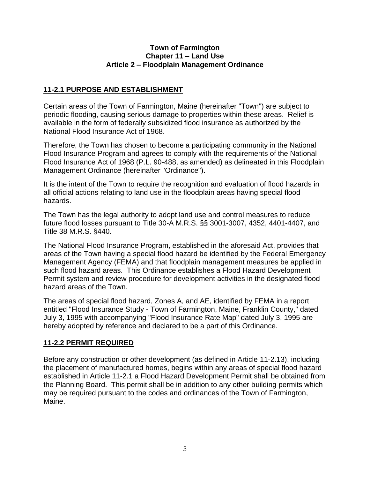#### **Town of Farmington Chapter 11 – Land Use Article 2 – Floodplain Management Ordinance**

# **11-2.1 PURPOSE AND ESTABLISHMENT**

Certain areas of the Town of Farmington, Maine (hereinafter "Town") are subject to periodic flooding, causing serious damage to properties within these areas. Relief is available in the form of federally subsidized flood insurance as authorized by the National Flood Insurance Act of 1968.

Therefore, the Town has chosen to become a participating community in the National Flood Insurance Program and agrees to comply with the requirements of the National Flood Insurance Act of 1968 (P.L. 90-488, as amended) as delineated in this Floodplain Management Ordinance (hereinafter "Ordinance").

It is the intent of the Town to require the recognition and evaluation of flood hazards in all official actions relating to land use in the floodplain areas having special flood hazards.

The Town has the legal authority to adopt land use and control measures to reduce future flood losses pursuant to Title 30-A M.R.S. §§ 3001-3007, 4352, 4401-4407, and Title 38 M.R.S. §440.

The National Flood Insurance Program, established in the aforesaid Act, provides that areas of the Town having a special flood hazard be identified by the Federal Emergency Management Agency (FEMA) and that floodplain management measures be applied in such flood hazard areas. This Ordinance establishes a Flood Hazard Development Permit system and review procedure for development activities in the designated flood hazard areas of the Town.

The areas of special flood hazard, Zones A, and AE, identified by FEMA in a report entitled "Flood Insurance Study - Town of Farmington, Maine, Franklin County," dated July 3, 1995 with accompanying "Flood Insurance Rate Map" dated July 3, 1995 are hereby adopted by reference and declared to be a part of this Ordinance.

# **11-2.2 PERMIT REQUIRED**

Before any construction or other development (as defined in Article 11-2.13), including the placement of manufactured homes, begins within any areas of special flood hazard established in Article 11-2.1 a Flood Hazard Development Permit shall be obtained from the Planning Board. This permit shall be in addition to any other building permits which may be required pursuant to the codes and ordinances of the Town of Farmington, Maine.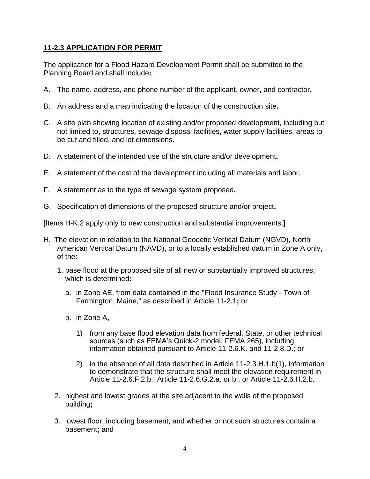# **11-2.3 APPLICATION FOR PERMIT**

The application for a Flood Hazard Development Permit shall be submitted to the Planning Board and shall include**:**

- A. The name, address, and phone number of the applicant, owner, and contractor**.**
- B. An address and a map indicating the location of the construction site**.**
- C. A site plan showing location of existing and/or proposed development, including but not limited to, structures, sewage disposal facilities, water supply facilities, areas to be cut and filled, and lot dimensions**.**
- D. A statement of the intended use of the structure and/or development**.**
- E. A statement of the cost of the development including all materials and labor.
- F. A statement as to the type of sewage system proposed**.**
- G. Specification of dimensions of the proposed structure and/or project**.**

[Items H-K.2 apply only to new construction and substantial improvements.]

- H. The elevation in relation to the National Geodetic Vertical Datum (NGVD), North American Vertical Datum (NAVD), or to a locally established datum in Zone A only, of the**:**
	- 1. base flood at the proposed site of all new or substantially improved structures, which is determined**:**
		- a. in Zone AE, from data contained in the "Flood Insurance Study Town of Farmington, Maine," as described in Article 11-2.1**;** or
		- b. in Zone A**,**
			- 1) from any base flood elevation data from federal, State, or other technical sources (such as FEMA's Quick-2 model, FEMA 265), including information obtained pursuant to Article 11-2.6.K. and 11-2.8.D.; or
			- 2) in the absence of all data described in Article 11-2.3.H.1.b(1), information to demonstrate that the structure shall meet the elevation requirement in Article 11-2.6.F.2.b., Article 11-2.6.G.2.a. or b., or Article 11-2.6.H.2.b.
	- 2. highest and lowest grades at the site adjacent to the walls of the proposed building**;**
	- 3. lowest floor, including basement; and whether or not such structures contain a basement**;** and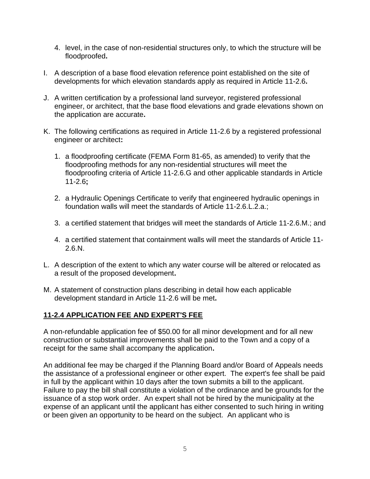- 4. level, in the case of non-residential structures only, to which the structure will be floodproofed**.**
- I. A description of a base flood elevation reference point established on the site of developments for which elevation standards apply as required in Article 11-2.6**.**
- J. A written certification by a professional land surveyor, registered professional engineer, or architect, that the base flood elevations and grade elevations shown on the application are accurate**.**
- K. The following certifications as required in Article 11-2.6 by a registered professional engineer or architect**:**
	- 1. a floodproofing certificate (FEMA Form 81-65, as amended) to verify that the floodproofing methods for any non-residential structures will meet the floodproofing criteria of Article 11-2.6.G and other applicable standards in Article 11-2.6**;**
	- 2. a Hydraulic Openings Certificate to verify that engineered hydraulic openings in foundation walls will meet the standards of Article 11-2.6.L.2.a.;
	- 3. a certified statement that bridges will meet the standards of Article 11-2.6.M.; and
	- 4. a certified statement that containment walls will meet the standards of Article 11- 2.6.N.
- L. A description of the extent to which any water course will be altered or relocated as a result of the proposed development**.**
- M. A statement of construction plans describing in detail how each applicable development standard in Article 11-2.6 will be met**.**

# **11-2.4 APPLICATION FEE AND EXPERT'S FEE**

A non-refundable application fee of \$50.00 for all minor development and for all new construction or substantial improvements shall be paid to the Town and a copy of a receipt for the same shall accompany the application**.** 

An additional fee may be charged if the Planning Board and/or Board of Appeals needs the assistance of a professional engineer or other expert. The expert's fee shall be paid in full by the applicant within 10 days after the town submits a bill to the applicant. Failure to pay the bill shall constitute a violation of the ordinance and be grounds for the issuance of a stop work order. An expert shall not be hired by the municipality at the expense of an applicant until the applicant has either consented to such hiring in writing or been given an opportunity to be heard on the subject. An applicant who is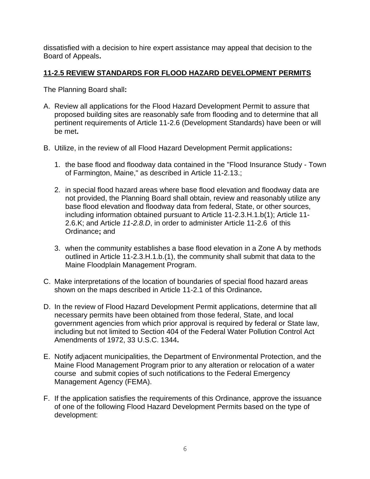dissatisfied with a decision to hire expert assistance may appeal that decision to the Board of Appeals**.** 

# **11-2.5 REVIEW STANDARDS FOR FLOOD HAZARD DEVELOPMENT PERMITS**

The Planning Board shall**:**

- A. Review all applications for the Flood Hazard Development Permit to assure that proposed building sites are reasonably safe from flooding and to determine that all pertinent requirements of Article 11-2.6 (Development Standards) have been or will be met**.**
- B. Utilize, in the review of all Flood Hazard Development Permit applications**:**
	- 1. the base flood and floodway data contained in the "Flood Insurance Study Town of Farmington, Maine," as described in Article 11-2.13.;
	- 2. in special flood hazard areas where base flood elevation and floodway data are not provided, the Planning Board shall obtain, review and reasonably utilize any base flood elevation and floodway data from federal, State, or other sources, including information obtained pursuant to Article 11-2.3.H.1.b(1); Article 11- 2.6.K; and Article *11-2.8.D*, in order to administer Article 11-2.6 of this Ordinance**;** and
	- 3. when the community establishes a base flood elevation in a Zone A by methods outlined in Article 11-2.3.H.1.b.(1), the community shall submit that data to the Maine Floodplain Management Program.
- C. Make interpretations of the location of boundaries of special flood hazard areas shown on the maps described in Article 11-2.1 of this Ordinance**.**
- D. In the review of Flood Hazard Development Permit applications, determine that all necessary permits have been obtained from those federal, State, and local government agencies from which prior approval is required by federal or State law, including but not limited to Section 404 of the Federal Water Pollution Control Act Amendments of 1972, 33 U.S.C. 1344**.**
- E. Notify adjacent municipalities, the Department of Environmental Protection, and the Maine Flood Management Program prior to any alteration or relocation of a water course and submit copies of such notifications to the Federal Emergency Management Agency (FEMA).
- F. If the application satisfies the requirements of this Ordinance, approve the issuance of one of the following Flood Hazard Development Permits based on the type of development: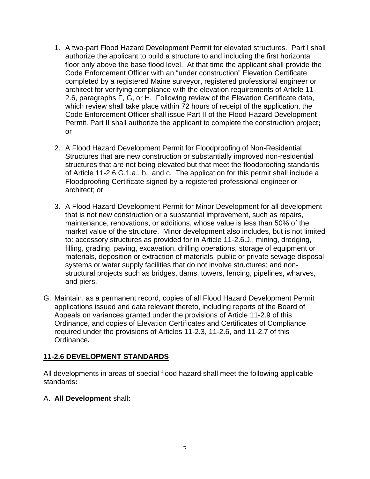- 1. A two-part Flood Hazard Development Permit for elevated structures. Part I shall authorize the applicant to build a structure to and including the first horizontal floor only above the base flood level. At that time the applicant shall provide the Code Enforcement Officer with an "under construction" Elevation Certificate completed by a registered Maine surveyor, registered professional engineer or architect for verifying compliance with the elevation requirements of Article 11- 2.6, paragraphs F, G, or H. Following review of the Elevation Certificate data, which review shall take place within 72 hours of receipt of the application, the Code Enforcement Officer shall issue Part II of the Flood Hazard Development Permit. Part II shall authorize the applicant to complete the construction project**;** or
- 2. A Flood Hazard Development Permit for Floodproofing of Non-Residential Structures that are new construction or substantially improved non-residential structures that are not being elevated but that meet the floodproofing standards of Article 11-2.6.G.1.a., b., and c. The application for this permit shall include a Floodproofing Certificate signed by a registered professional engineer or architect; or
- 3. A Flood Hazard Development Permit for Minor Development for all development that is not new construction or a substantial improvement, such as repairs, maintenance, renovations, or additions, whose value is less than 50% of the market value of the structure. Minor development also includes, but is not limited to: accessory structures as provided for in Article 11-2.6.J., mining, dredging, filling, grading, paving, excavation, drilling operations, storage of equipment or materials, deposition or extraction of materials, public or private sewage disposal systems or water supply facilities that do not involve structures; and nonstructural projects such as bridges, dams, towers, fencing, pipelines, wharves, and piers.
- G. Maintain, as a permanent record, copies of all Flood Hazard Development Permit applications issued and data relevant thereto, including reports of the Board of Appeals on variances granted under the provisions of Article 11-2.9 of this Ordinance, and copies of Elevation Certificates and Certificates of Compliance required under the provisions of Articles 11-2.3, 11-2.6, and 11-2.7 of this Ordinance**.**

#### **11-2.6 DEVELOPMENT STANDARDS**

All developments in areas of special flood hazard shall meet the following applicable standards**:**

#### A. **All Development** shall**:**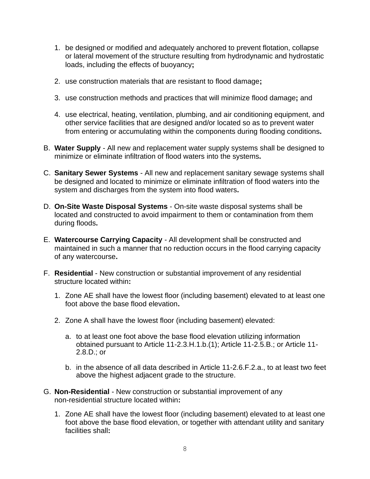- 1. be designed or modified and adequately anchored to prevent flotation, collapse or lateral movement of the structure resulting from hydrodynamic and hydrostatic loads, including the effects of buoyancy**;**
- 2. use construction materials that are resistant to flood damage**;**
- 3. use construction methods and practices that will minimize flood damage**;** and
- 4. use electrical, heating, ventilation, plumbing, and air conditioning equipment, and other service facilities that are designed and/or located so as to prevent water from entering or accumulating within the components during flooding conditions**.**
- B. **Water Supply** All new and replacement water supply systems shall be designed to minimize or eliminate infiltration of flood waters into the systems**.**
- C. **Sanitary Sewer Systems** All new and replacement sanitary sewage systems shall be designed and located to minimize or eliminate infiltration of flood waters into the system and discharges from the system into flood waters**.**
- D. **On-Site Waste Disposal Systems** On-site waste disposal systems shall be located and constructed to avoid impairment to them or contamination from them during floods**.**
- E. **Watercourse Carrying Capacity** All development shall be constructed and maintained in such a manner that no reduction occurs in the flood carrying capacity of any watercourse**.**
- F. **Residential** New construction or substantial improvement of any residential structure located within**:**
	- 1. Zone AE shall have the lowest floor (including basement) elevated to at least one foot above the base flood elevation**.**
	- 2. Zone A shall have the lowest floor (including basement) elevated:
		- a. to at least one foot above the base flood elevation utilizing information obtained pursuant to Article 11-2.3.H.1.b.(1); Article 11-2.5.B.; or Article 11- 2.8.D.; or
		- b. in the absence of all data described in Article 11-2.6.F.2.a., to at least two feet above the highest adjacent grade to the structure.
- G. **Non-Residential** New construction or substantial improvement of any non-residential structure located within**:**
	- 1. Zone AE shall have the lowest floor (including basement) elevated to at least one foot above the base flood elevation, or together with attendant utility and sanitary facilities shall**:**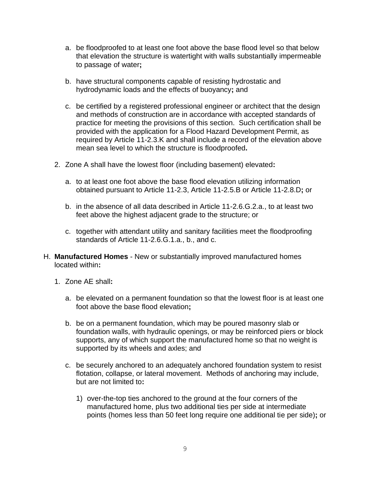- a. be floodproofed to at least one foot above the base flood level so that below that elevation the structure is watertight with walls substantially impermeable to passage of water**;**
- b. have structural components capable of resisting hydrostatic and hydrodynamic loads and the effects of buoyancy**;** and
- c. be certified by a registered professional engineer or architect that the design and methods of construction are in accordance with accepted standards of practice for meeting the provisions of this section. Such certification shall be provided with the application for a Flood Hazard Development Permit, as required by Article 11-2.3.K and shall include a record of the elevation above mean sea level to which the structure is floodproofed**.**
- 2. Zone A shall have the lowest floor (including basement) elevated**:**
	- a. to at least one foot above the base flood elevation utilizing information obtained pursuant to Article 11-2.3, Article 11-2.5.B or Article 11-2.8.D**;** or
	- b. in the absence of all data described in Article 11-2.6.G.2.a., to at least two feet above the highest adjacent grade to the structure; or
	- c. together with attendant utility and sanitary facilities meet the floodproofing standards of Article 11-2.6.G.1.a., b., and c.
- H. **Manufactured Homes** New or substantially improved manufactured homes located within**:**
	- 1. Zone AE shall**:**
		- a. be elevated on a permanent foundation so that the lowest floor is at least one foot above the base flood elevation**;**
		- b. be on a permanent foundation, which may be poured masonry slab or foundation walls, with hydraulic openings, or may be reinforced piers or block supports, any of which support the manufactured home so that no weight is supported by its wheels and axles; and
		- c. be securely anchored to an adequately anchored foundation system to resist flotation, collapse, or lateral movement. Methods of anchoring may include, but are not limited to**:**
			- 1) over-the-top ties anchored to the ground at the four corners of the manufactured home, plus two additional ties per side at intermediate points (homes less than 50 feet long require one additional tie per side)**;** or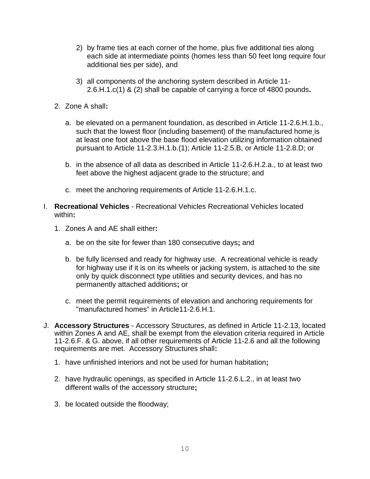- 2) by frame ties at each corner of the home, plus five additional ties along each side at intermediate points (homes less than 50 feet long require four additional ties per side), and
- 3) all components of the anchoring system described in Article 11- 2.6.H.1.c(1) & (2) shall be capable of carrying a force of 4800 pounds**.**
- 2. Zone A shall**:**
	- a. be elevated on a permanent foundation, as described in Article 11-2.6.H.1.b., such that the lowest floor (including basement) of the manufactured home is at least one foot above the base flood elevation utilizing information obtained pursuant to Article 11-2.3.H.1.b.(1); Article 11-2.5.B, or Article 11-2.8.D; or
	- b. in the absence of all data as described in Article 11-2.6.H.2.a., to at least two feet above the highest adjacent grade to the structure; and
	- c. meet the anchoring requirements of Article 11-2.6.H.1.c.
- I. **Recreational Vehicles** Recreational Vehicles Recreational Vehicles located within**:**
	- 1. Zones A and AE shall either**:**
		- a. be on the site for fewer than 180 consecutive days**;** and
		- b. be fully licensed and ready for highway use. A recreational vehicle is ready for highway use if it is on its wheels or jacking system, is attached to the site only by quick disconnect type utilities and security devices, and has no permanently attached additions**;** or
		- c. meet the permit requirements of elevation and anchoring requirements for "manufactured homes" in Article11-2.6.H.1.
- J. **Accessory Structures** Accessory Structures, as defined in Article 11-2.13, located within Zones A and AE, shall be exempt from the elevation criteria required in Article 11-2.6.F. & G. above, if all other requirements of Article 11-2.6 and all the following requirements are met. Accessory Structures shall**:**
	- 1. have unfinished interiors and not be used for human habitation**;**
	- 2. have hydraulic openings, as specified in Article 11-2.6.L.2., in at least two different walls of the accessory structure**;**
	- 3. be located outside the floodway;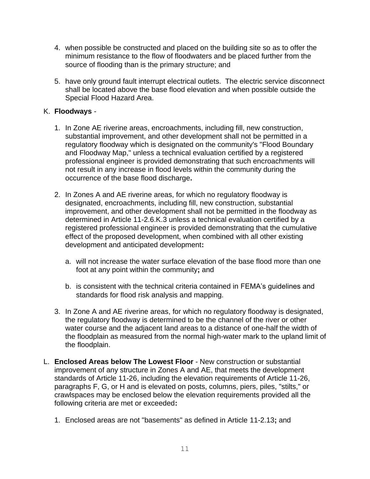- 4. when possible be constructed and placed on the building site so as to offer the minimum resistance to the flow of floodwaters and be placed further from the source of flooding than is the primary structure; and
- 5. have only ground fault interrupt electrical outlets. The electric service disconnect shall be located above the base flood elevation and when possible outside the Special Flood Hazard Area.

## K. **Floodways** -

- 1. In Zone AE riverine areas, encroachments, including fill, new construction, substantial improvement, and other development shall not be permitted in a regulatory floodway which is designated on the community's "Flood Boundary and Floodway Map," unless a technical evaluation certified by a registered professional engineer is provided demonstrating that such encroachments will not result in any increase in flood levels within the community during the occurrence of the base flood discharge**.**
- 2. In Zones A and AE riverine areas, for which no regulatory floodway is designated, encroachments, including fill, new construction, substantial improvement, and other development shall not be permitted in the floodway as determined in Article 11-2.6.K.3 unless a technical evaluation certified by a registered professional engineer is provided demonstrating that the cumulative effect of the proposed development, when combined with all other existing development and anticipated development**:**
	- a. will not increase the water surface elevation of the base flood more than one foot at any point within the community**;** and
	- b. is consistent with the technical criteria contained in FEMA's guidelines and standards for flood risk analysis and mapping.
- 3. In Zone A and AE riverine areas, for which no regulatory floodway is designated, the regulatory floodway is determined to be the channel of the river or other water course and the adjacent land areas to a distance of one-half the width of the floodplain as measured from the normal high-water mark to the upland limit of the floodplain.
- L. **Enclosed Areas below The Lowest Floor** New construction or substantial improvement of any structure in Zones A and AE, that meets the development standards of Article 11-26, including the elevation requirements of Article 11-26, paragraphs F, G, or H and is elevated on posts, columns, piers, piles, "stilts," or crawlspaces may be enclosed below the elevation requirements provided all the following criteria are met or exceeded**:**
	- 1. Enclosed areas are not "basements" as defined in Article 11-2.13**;** and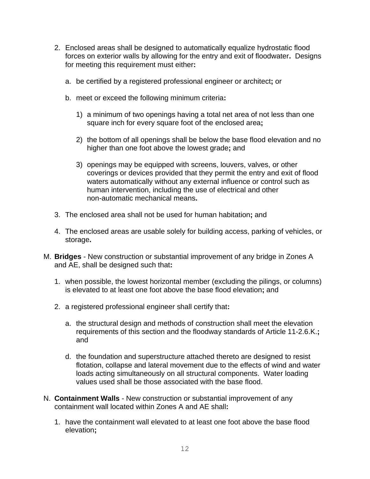- 2. Enclosed areas shall be designed to automatically equalize hydrostatic flood forces on exterior walls by allowing for the entry and exit of floodwater**.** Designs for meeting this requirement must either**:**
	- a. be certified by a registered professional engineer or architect**;** or
	- b. meet or exceed the following minimum criteria**:**
		- 1) a minimum of two openings having a total net area of not less than one square inch for every square foot of the enclosed area**;**
		- 2) the bottom of all openings shall be below the base flood elevation and no higher than one foot above the lowest grade**;** and
		- 3) openings may be equipped with screens, louvers, valves, or other coverings or devices provided that they permit the entry and exit of flood waters automatically without any external influence or control such as human intervention, including the use of electrical and other non-automatic mechanical means**.**
- 3. The enclosed area shall not be used for human habitation**;** and
- 4. The enclosed areas are usable solely for building access, parking of vehicles, or storage**.**
- M. **Bridges** New construction or substantial improvement of any bridge in Zones A and AE, shall be designed such that**:**
	- 1. when possible, the lowest horizontal member (excluding the pilings, or columns) is elevated to at least one foot above the base flood elevation**;** and
	- 2. a registered professional engineer shall certify that**:**
		- a. the structural design and methods of construction shall meet the elevation requirements of this section and the floodway standards of Article 11-2.6.K.**;** and
		- d. the foundation and superstructure attached thereto are designed to resist flotation, collapse and lateral movement due to the effects of wind and water loads acting simultaneously on all structural components. Water loading values used shall be those associated with the base flood.
- N. **Containment Walls** New construction or substantial improvement of any containment wall located within Zones A and AE shall**:**
	- 1. have the containment wall elevated to at least one foot above the base flood elevation**;**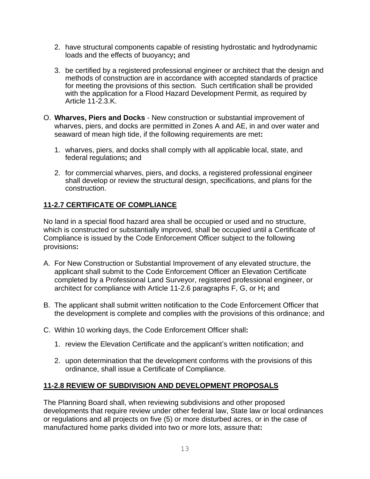- 2. have structural components capable of resisting hydrostatic and hydrodynamic loads and the effects of buoyancy**;** and
- 3. be certified by a registered professional engineer or architect that the design and methods of construction are in accordance with accepted standards of practice for meeting the provisions of this section. Such certification shall be provided with the application for a Flood Hazard Development Permit, as required by Article 11-2.3.K.
- O. **Wharves, Piers and Docks** New construction or substantial improvement of wharves, piers, and docks are permitted in Zones A and AE, in and over water and seaward of mean high tide, if the following requirements are met**:**
	- 1. wharves, piers, and docks shall comply with all applicable local, state, and federal regulations**;** and
	- 2. for commercial wharves, piers, and docks, a registered professional engineer shall develop or review the structural design, specifications, and plans for the construction.

# **11-2.7 CERTIFICATE OF COMPLIANCE**

No land in a special flood hazard area shall be occupied or used and no structure, which is constructed or substantially improved, shall be occupied until a Certificate of Compliance is issued by the Code Enforcement Officer subject to the following provisions**:**

- A. For New Construction or Substantial Improvement of any elevated structure, the applicant shall submit to the Code Enforcement Officer an Elevation Certificate completed by a Professional Land Surveyor, registered professional engineer, or architect for compliance with Article 11-2.6 paragraphs F, G, or H**;** and
- B. The applicant shall submit written notification to the Code Enforcement Officer that the development is complete and complies with the provisions of this ordinance; and
- C. Within 10 working days, the Code Enforcement Officer shall**:**
	- 1. review the Elevation Certificate and the applicant's written notification; and
	- 2. upon determination that the development conforms with the provisions of this ordinance, shall issue a Certificate of Compliance.

# **11-2.8 REVIEW OF SUBDIVISION AND DEVELOPMENT PROPOSALS**

The Planning Board shall, when reviewing subdivisions and other proposed developments that require review under other federal law, State law or local ordinances or regulations and all projects on five (5) or more disturbed acres, or in the case of manufactured home parks divided into two or more lots, assure that**:**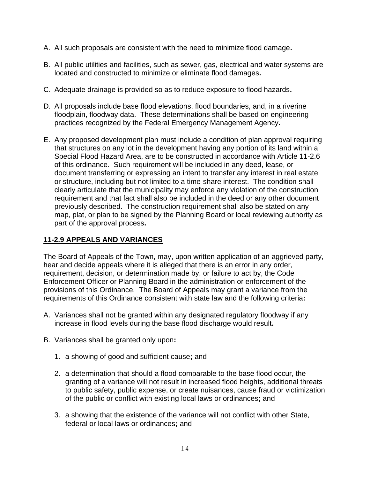- A. All such proposals are consistent with the need to minimize flood damage**.**
- B. All public utilities and facilities, such as sewer, gas, electrical and water systems are located and constructed to minimize or eliminate flood damages**.**
- C. Adequate drainage is provided so as to reduce exposure to flood hazards**.**
- D. All proposals include base flood elevations, flood boundaries, and, in a riverine floodplain, floodway data. These determinations shall be based on engineering practices recognized by the Federal Emergency Management Agency**.**
- E. Any proposed development plan must include a condition of plan approval requiring that structures on any lot in the development having any portion of its land within a Special Flood Hazard Area, are to be constructed in accordance with Article 11-2.6 of this ordinance. Such requirement will be included in any deed, lease, or document transferring or expressing an intent to transfer any interest in real estate or structure, including but not limited to a time-share interest. The condition shall clearly articulate that the municipality may enforce any violation of the construction requirement and that fact shall also be included in the deed or any other document previously described. The construction requirement shall also be stated on any map, plat, or plan to be signed by the Planning Board or local reviewing authority as part of the approval process**.**

# **11-2.9 APPEALS AND VARIANCES**

The Board of Appeals of the Town, may, upon written application of an aggrieved party, hear and decide appeals where it is alleged that there is an error in any order, requirement, decision, or determination made by, or failure to act by, the Code Enforcement Officer or Planning Board in the administration or enforcement of the provisions of this Ordinance. The Board of Appeals may grant a variance from the requirements of this Ordinance consistent with state law and the following criteria**:**

- A. Variances shall not be granted within any designated regulatory floodway if any increase in flood levels during the base flood discharge would result**.**
- B. Variances shall be granted only upon**:**
	- 1. a showing of good and sufficient cause**;** and
	- 2. a determination that should a flood comparable to the base flood occur, the granting of a variance will not result in increased flood heights, additional threats to public safety, public expense, or create nuisances, cause fraud or victimization of the public or conflict with existing local laws or ordinances**;** and
	- 3. a showing that the existence of the variance will not conflict with other State, federal or local laws or ordinances**;** and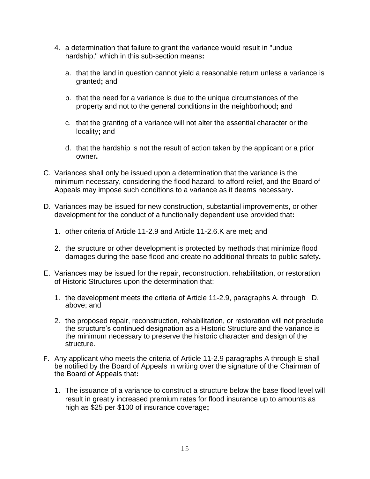- 4. a determination that failure to grant the variance would result in "undue hardship," which in this sub-section means**:**
	- a. that the land in question cannot yield a reasonable return unless a variance is granted**;** and
	- b. that the need for a variance is due to the unique circumstances of the property and not to the general conditions in the neighborhood**;** and
	- c. that the granting of a variance will not alter the essential character or the locality**;** and
	- d. that the hardship is not the result of action taken by the applicant or a prior owner**.**
- C. Variances shall only be issued upon a determination that the variance is the minimum necessary, considering the flood hazard, to afford relief, and the Board of Appeals may impose such conditions to a variance as it deems necessary**.**
- D. Variances may be issued for new construction, substantial improvements, or other development for the conduct of a functionally dependent use provided that**:**
	- 1. other criteria of Article 11-2.9 and Article 11-2.6.K are met**;** and
	- 2. the structure or other development is protected by methods that minimize flood damages during the base flood and create no additional threats to public safety**.**
- E. Variances may be issued for the repair, reconstruction, rehabilitation, or restoration of Historic Structures upon the determination that:
	- 1. the development meets the criteria of Article 11-2.9, paragraphs A. through D. above; and
	- 2. the proposed repair, reconstruction, rehabilitation, or restoration will not preclude the structure's continued designation as a Historic Structure and the variance is the minimum necessary to preserve the historic character and design of the structure.
- F. Any applicant who meets the criteria of Article 11-2.9 paragraphs A through E shall be notified by the Board of Appeals in writing over the signature of the Chairman of the Board of Appeals that**:**
	- 1. The issuance of a variance to construct a structure below the base flood level will result in greatly increased premium rates for flood insurance up to amounts as high as \$25 per \$100 of insurance coverage**;**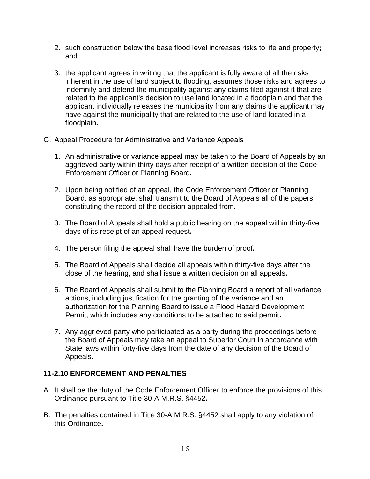- 2. such construction below the base flood level increases risks to life and property**;**  and
- 3. the applicant agrees in writing that the applicant is fully aware of all the risks inherent in the use of land subject to flooding, assumes those risks and agrees to indemnify and defend the municipality against any claims filed against it that are related to the applicant's decision to use land located in a floodplain and that the applicant individually releases the municipality from any claims the applicant may have against the municipality that are related to the use of land located in a floodplain**.**
- G. Appeal Procedure for Administrative and Variance Appeals
	- 1. An administrative or variance appeal may be taken to the Board of Appeals by an aggrieved party within thirty days after receipt of a written decision of the Code Enforcement Officer or Planning Board**.**
	- 2. Upon being notified of an appeal, the Code Enforcement Officer or Planning Board, as appropriate, shall transmit to the Board of Appeals all of the papers constituting the record of the decision appealed from**.**
	- 3. The Board of Appeals shall hold a public hearing on the appeal within thirty-five days of its receipt of an appeal request**.**
	- 4. The person filing the appeal shall have the burden of proof**.**
	- 5. The Board of Appeals shall decide all appeals within thirty-five days after the close of the hearing, and shall issue a written decision on all appeals**.**
	- 6. The Board of Appeals shall submit to the Planning Board a report of all variance actions, including justification for the granting of the variance and an authorization for the Planning Board to issue a Flood Hazard Development Permit, which includes any conditions to be attached to said permit**.**
	- 7. Any aggrieved party who participated as a party during the proceedings before the Board of Appeals may take an appeal to Superior Court in accordance with State laws within forty-five days from the date of any decision of the Board of Appeals**.**

# **11-2.10 ENFORCEMENT AND PENALTIES**

- A. It shall be the duty of the Code Enforcement Officer to enforce the provisions of this Ordinance pursuant to Title 30-A M.R.S. §4452**.**
- B. The penalties contained in Title 30-A M.R.S. §4452 shall apply to any violation of this Ordinance**.**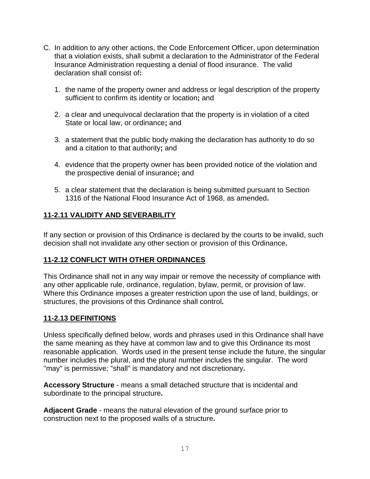- C. In addition to any other actions, the Code Enforcement Officer, upon determination that a violation exists, shall submit a declaration to the Administrator of the Federal Insurance Administration requesting a denial of flood insurance. The valid declaration shall consist of**:**
	- 1. the name of the property owner and address or legal description of the property sufficient to confirm its identity or location**;** and
	- 2. a clear and unequivocal declaration that the property is in violation of a cited State or local law, or ordinance**;** and
	- 3. a statement that the public body making the declaration has authority to do so and a citation to that authority**;** and
	- 4. evidence that the property owner has been provided notice of the violation and the prospective denial of insurance**;** and
	- 5. a clear statement that the declaration is being submitted pursuant to Section 1316 of the National Flood Insurance Act of 1968, as amended**.**

# **11-2.11 VALIDITY AND SEVERABILITY**

If any section or provision of this Ordinance is declared by the courts to be invalid, such decision shall not invalidate any other section or provision of this Ordinance**.**

# **11-2.12 CONFLICT WITH OTHER ORDINANCES**

This Ordinance shall not in any way impair or remove the necessity of compliance with any other applicable rule, ordinance, regulation, bylaw, permit, or provision of law. Where this Ordinance imposes a greater restriction upon the use of land, buildings, or structures, the provisions of this Ordinance shall control**.** 

# **11-2.13 DEFINITIONS**

Unless specifically defined below, words and phrases used in this Ordinance shall have the same meaning as they have at common law and to give this Ordinance its most reasonable application. Words used in the present tense include the future, the singular number includes the plural, and the plural number includes the singular. The word "may" is permissive; "shall" is mandatory and not discretionary**.** 

**Accessory Structure** - means a small detached structure that is incidental and subordinate to the principal structure**.**

**Adjacent Grade** - means the natural elevation of the ground surface prior to construction next to the proposed walls of a structure**.**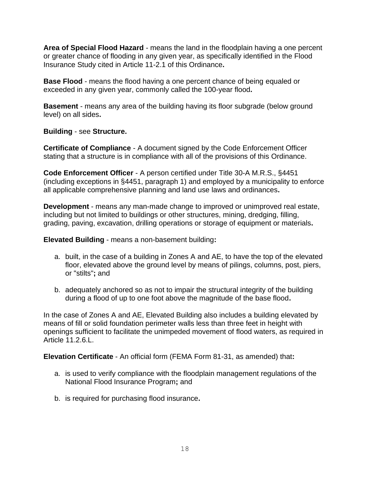**Area of Special Flood Hazard** - means the land in the floodplain having a one percent or greater chance of flooding in any given year, as specifically identified in the Flood Insurance Study cited in Article 11-2.1 of this Ordinance**.** 

**Base Flood** - means the flood having a one percent chance of being equaled or exceeded in any given year, commonly called the 100-year flood**.** 

**Basement** - means any area of the building having its floor subgrade (below ground level) on all sides**.** 

**Building** - see **Structure.**

**Certificate of Compliance** - A document signed by the Code Enforcement Officer stating that a structure is in compliance with all of the provisions of this Ordinance.

**Code Enforcement Officer** - A person certified under Title 30-A M.R.S., §4451 (including exceptions in §4451, paragraph 1) and employed by a municipality to enforce all applicable comprehensive planning and land use laws and ordinances**.**

**Development** - means any man-made change to improved or unimproved real estate, including but not limited to buildings or other structures, mining, dredging, filling, grading, paving, excavation, drilling operations or storage of equipment or materials**.**

**Elevated Building** - means a non-basement building**:**

- a. built, in the case of a building in Zones A and AE, to have the top of the elevated floor, elevated above the ground level by means of pilings, columns, post, piers, or "stilts"**;** and
- b. adequately anchored so as not to impair the structural integrity of the building during a flood of up to one foot above the magnitude of the base flood**.**

In the case of Zones A and AE, Elevated Building also includes a building elevated by means of fill or solid foundation perimeter walls less than three feet in height with openings sufficient to facilitate the unimpeded movement of flood waters, as required in Article 11.2.6.L.

**Elevation Certificate** - An official form (FEMA Form 81-31, as amended) that**:**

- a. is used to verify compliance with the floodplain management regulations of the National Flood Insurance Program**;** and
- b. is required for purchasing flood insurance**.**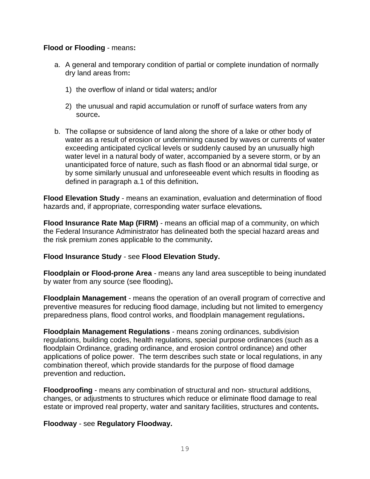### **Flood or Flooding** - means**:**

- a. A general and temporary condition of partial or complete inundation of normally dry land areas from**:**
	- 1) the overflow of inland or tidal waters**;** and/or
	- 2) the unusual and rapid accumulation or runoff of surface waters from any source**.**
- b. The collapse or subsidence of land along the shore of a lake or other body of water as a result of erosion or undermining caused by waves or currents of water exceeding anticipated cyclical levels or suddenly caused by an unusually high water level in a natural body of water, accompanied by a severe storm, or by an unanticipated force of nature, such as flash flood or an abnormal tidal surge, or by some similarly unusual and unforeseeable event which results in flooding as defined in paragraph a.1 of this definition**.**

**Flood Elevation Study** - means an examination, evaluation and determination of flood hazards and, if appropriate, corresponding water surface elevations**.** 

**Flood Insurance Rate Map (FIRM)** - means an official map of a community, on which the Federal Insurance Administrator has delineated both the special hazard areas and the risk premium zones applicable to the community**.** 

#### **Flood Insurance Study** - see **Flood Elevation Study.**

**Floodplain or Flood-prone Area** - means any land area susceptible to being inundated by water from any source (see flooding)**.** 

**Floodplain Management** - means the operation of an overall program of corrective and preventive measures for reducing flood damage, including but not limited to emergency preparedness plans, flood control works, and floodplain management regulations**.** 

**Floodplain Management Regulations** - means zoning ordinances, subdivision regulations, building codes, health regulations, special purpose ordinances (such as a floodplain Ordinance, grading ordinance, and erosion control ordinance) and other applications of police power. The term describes such state or local regulations, in any combination thereof, which provide standards for the purpose of flood damage prevention and reduction**.**

**Floodproofing** - means any combination of structural and non- structural additions, changes, or adjustments to structures which reduce or eliminate flood damage to real estate or improved real property, water and sanitary facilities, structures and contents**.**

#### **Floodway** - see **Regulatory Floodway.**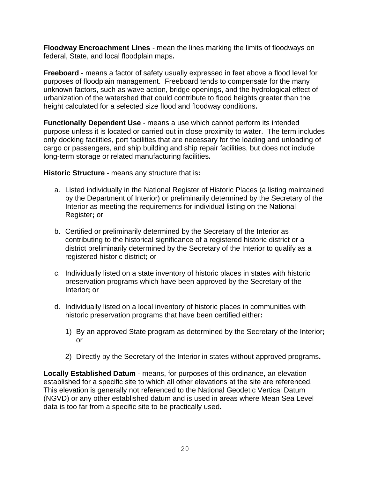**Floodway Encroachment Lines** - mean the lines marking the limits of floodways on federal, State, and local floodplain maps**.**

**Freeboard** - means a factor of safety usually expressed in feet above a flood level for purposes of floodplain management. Freeboard tends to compensate for the many unknown factors, such as wave action, bridge openings, and the hydrological effect of urbanization of the watershed that could contribute to flood heights greater than the height calculated for a selected size flood and floodway conditions**.** 

**Functionally Dependent Use** - means a use which cannot perform its intended purpose unless it is located or carried out in close proximity to water. The term includes only docking facilities, port facilities that are necessary for the loading and unloading of cargo or passengers, and ship building and ship repair facilities, but does not include long-term storage or related manufacturing facilities**.**

**Historic Structure** - means any structure that is**:**

- a. Listed individually in the National Register of Historic Places (a listing maintained by the Department of Interior) or preliminarily determined by the Secretary of the Interior as meeting the requirements for individual listing on the National Register**;** or
- b. Certified or preliminarily determined by the Secretary of the Interior as contributing to the historical significance of a registered historic district or a district preliminarily determined by the Secretary of the Interior to qualify as a registered historic district**;** or
- c. Individually listed on a state inventory of historic places in states with historic preservation programs which have been approved by the Secretary of the Interior**;** or
- d. Individually listed on a local inventory of historic places in communities with historic preservation programs that have been certified either**:**
	- 1) By an approved State program as determined by the Secretary of the Interior**;** or
	- 2) Directly by the Secretary of the Interior in states without approved programs**.**

**Locally Established Datum** - means, for purposes of this ordinance, an elevation established for a specific site to which all other elevations at the site are referenced. This elevation is generally not referenced to the National Geodetic Vertical Datum (NGVD) or any other established datum and is used in areas where Mean Sea Level data is too far from a specific site to be practically used**.**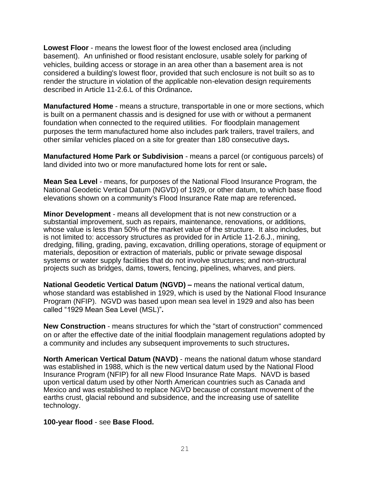**Lowest Floor** - means the lowest floor of the lowest enclosed area (including basement). An unfinished or flood resistant enclosure, usable solely for parking of vehicles, building access or storage in an area other than a basement area is not considered a building's lowest floor, provided that such enclosure is not built so as to render the structure in violation of the applicable non-elevation design requirements described in Article 11-2.6.L of this Ordinance**.** 

**Manufactured Home** - means a structure, transportable in one or more sections, which is built on a permanent chassis and is designed for use with or without a permanent foundation when connected to the required utilities. For floodplain management purposes the term manufactured home also includes park trailers, travel trailers, and other similar vehicles placed on a site for greater than 180 consecutive days**.** 

**Manufactured Home Park or Subdivision** - means a parcel (or contiguous parcels) of land divided into two or more manufactured home lots for rent or sale**.** 

**Mean Sea Level** - means, for purposes of the National Flood Insurance Program, the National Geodetic Vertical Datum (NGVD) of 1929, or other datum, to which base flood elevations shown on a community's Flood Insurance Rate map are referenced**.**

**Minor Development** - means all development that is not new construction or a substantial improvement, such as repairs, maintenance, renovations, or additions, whose value is less than 50% of the market value of the structure. It also includes, but is not limited to: accessory structures as provided for in Article 11-2.6.J., mining, dredging, filling, grading, paving, excavation, drilling operations, storage of equipment or materials, deposition or extraction of materials, public or private sewage disposal systems or water supply facilities that do not involve structures; and non-structural projects such as bridges, dams, towers, fencing, pipelines, wharves, and piers.

**National Geodetic Vertical Datum (NGVD) –** means the national vertical datum, whose standard was established in 1929, which is used by the National Flood Insurance Program (NFIP). NGVD was based upon mean sea level in 1929 and also has been called "1929 Mean Sea Level (MSL)"**.**

**New Construction** - means structures for which the "start of construction" commenced on or after the effective date of the initial floodplain management regulations adopted by a community and includes any subsequent improvements to such structures**.**

**North American Vertical Datum (NAVD)** - means the national datum whose standard was established in 1988, which is the new vertical datum used by the National Flood Insurance Program (NFIP) for all new Flood Insurance Rate Maps. NAVD is based upon vertical datum used by other North American countries such as Canada and Mexico and was established to replace NGVD because of constant movement of the earths crust, glacial rebound and subsidence, and the increasing use of satellite technology.

**100-year flood** - see **Base Flood.**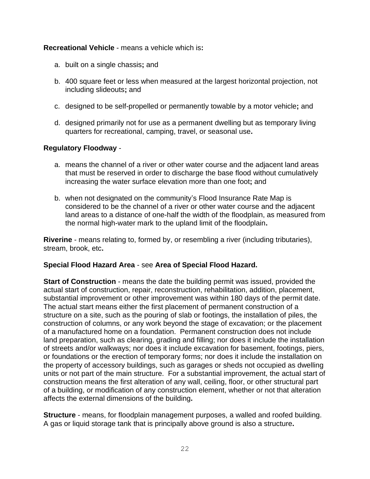**Recreational Vehicle** - means a vehicle which is**:**

- a. built on a single chassis**;** and
- b. 400 square feet or less when measured at the largest horizontal projection, not including slideouts**;** and
- c. designed to be self-propelled or permanently towable by a motor vehicle**;** and
- d. designed primarily not for use as a permanent dwelling but as temporary living quarters for recreational, camping, travel, or seasonal use**.**

# **Regulatory Floodway** -

- a. means the channel of a river or other water course and the adjacent land areas that must be reserved in order to discharge the base flood without cumulatively increasing the water surface elevation more than one foot**;** and
- b. when not designated on the community's Flood Insurance Rate Map is considered to be the channel of a river or other water course and the adjacent land areas to a distance of one-half the width of the floodplain, as measured from the normal high-water mark to the upland limit of the floodplain**.**

**Riverine** - means relating to, formed by, or resembling a river (including tributaries), stream, brook, etc**.**

# **Special Flood Hazard Area** - see **Area of Special Flood Hazard.**

**Start of Construction** - means the date the building permit was issued, provided the actual start of construction, repair, reconstruction, rehabilitation, addition, placement, substantial improvement or other improvement was within 180 days of the permit date. The actual start means either the first placement of permanent construction of a structure on a site, such as the pouring of slab or footings, the installation of piles, the construction of columns, or any work beyond the stage of excavation; or the placement of a manufactured home on a foundation. Permanent construction does not include land preparation, such as clearing, grading and filling; nor does it include the installation of streets and/or walkways; nor does it include excavation for basement, footings, piers, or foundations or the erection of temporary forms; nor does it include the installation on the property of accessory buildings, such as garages or sheds not occupied as dwelling units or not part of the main structure. For a substantial improvement, the actual start of construction means the first alteration of any wall, ceiling, floor, or other structural part of a building, or modification of any construction element, whether or not that alteration affects the external dimensions of the building**.**

**Structure** - means, for floodplain management purposes, a walled and roofed building. A gas or liquid storage tank that is principally above ground is also a structure**.**